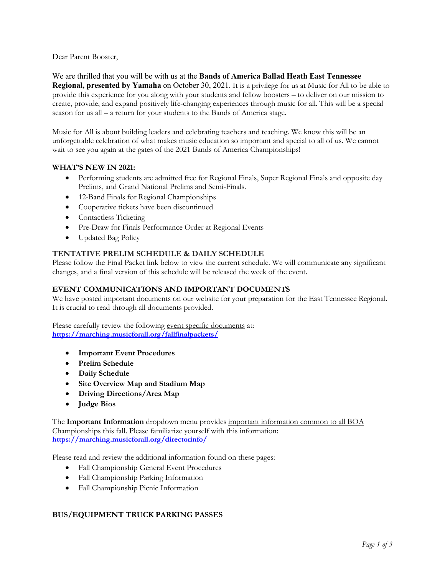Dear Parent Booster,

We are thrilled that you will be with us at the **Bands of America Ballad Heath East Tennessee Regional, presented by Yamaha** on October 30, 2021. It is a privilege for us at Music for All to be able to provide this experience for you along with your students and fellow boosters – to deliver on our mission to create, provide, and expand positively life-changing experiences through music for all. This will be a special season for us all – a return for your students to the Bands of America stage.

Music for All is about building leaders and celebrating teachers and teaching. We know this will be an unforgettable celebration of what makes music education so important and special to all of us. We cannot wait to see you again at the gates of the 2021 Bands of America Championships!

### **WHAT'S NEW IN 2021:**

- Performing students are admitted free for Regional Finals, Super Regional Finals and opposite day Prelims, and Grand National Prelims and Semi-Finals.
- 12-Band Finals for Regional Championships
- Cooperative tickets have been discontinued
- Contactless Ticketing
- Pre-Draw for Finals Performance Order at Regional Events
- Updated Bag Policy

### **TENTATIVE PRELIM SCHEDULE & DAILY SCHEDULE**

Please follow the Final Packet link below to view the current schedule. We will communicate any significant changes, and a final version of this schedule will be released the week of the event.

### **EVENT COMMUNICATIONS AND IMPORTANT DOCUMENTS**

We have posted important documents on our website for your preparation for the East Tennessee Regional. It is crucial to read through all documents provided.

Please carefully review the following event specific documents at: **<https://marching.musicforall.org/fallfinalpackets/>**

- **Important Event Procedures**
- **Prelim Schedule**
- **Daily Schedule**
- **Site Overview Map and Stadium Map**
- **Driving Directions/Area Map**
- **Judge Bios**

The **Important Information** dropdown menu provides important information common to all BOA Championships this fall. Please familiarize yourself with this information: **<https://marching.musicforall.org/directorinfo/>**

Please read and review the additional information found on these pages:

- Fall Championship General Event Procedures
- Fall Championship Parking Information
- Fall Championship Picnic Information

### **BUS/EQUIPMENT TRUCK PARKING PASSES**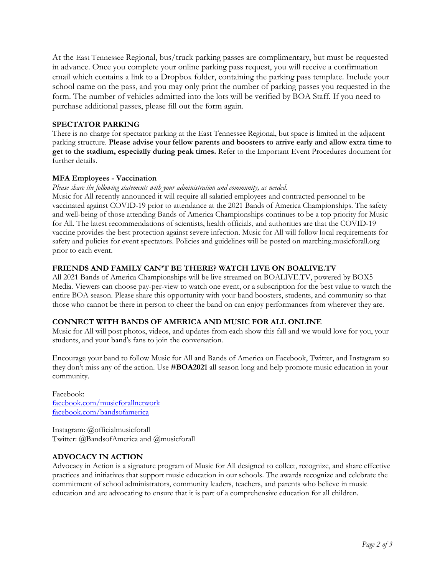At the East Tennessee Regional, bus/truck parking passes are complimentary, but must be requested in advance. Once you complete your online parking pass request, you will receive a confirmation email which contains a link to a Dropbox folder, containing the parking pass template. Include your school name on the pass, and you may only print the number of parking passes you requested in the form. The number of vehicles admitted into the lots will be verified by BOA Staff. If you need to purchase additional passes, please fill out the form again.

### **SPECTATOR PARKING**

There is no charge for spectator parking at the East Tennessee Regional, but space is limited in the adjacent parking structure. **Please advise your fellow parents and boosters to arrive early and allow extra time to get to the stadium, especially during peak times.** Refer to the Important Event Procedures document for further details.

# **MFA Employees - Vaccination**

*Please share the following statements with your administration and community, as needed.*

Music for All recently announced it will require all salaried employees and contracted personnel to be vaccinated against COVID-19 prior to attendance at the 2021 Bands of America Championships. The safety and well-being of those attending Bands of America Championships continues to be a top priority for Music for All. The latest recommendations of scientists, health officials, and authorities are that the COVID-19 vaccine provides the best protection against severe infection. Music for All will follow local requirements for safety and policies for event spectators. Policies and guidelines will be posted on marching.musicforall.org prior to each event.

### **FRIENDS AND FAMILY CAN'T BE THERE? WATCH LIVE ON BOALIVE.TV**

All 2021 Bands of America Championships will be live streamed on [BOALIVE.TV,](https://boalive.tv/) powered by BOX5 Media. Viewers can choose pay-per-view to watch one event, or a subscription for the best value to watch the entire BOA season. Please share this opportunity with your band boosters, students, and community so that those who cannot be there in person to cheer the band on can enjoy performances from wherever they are.

### **CONNECT WITH BANDS OF AMERICA AND MUSIC FOR ALL ONLINE**

Music for All will post photos, videos, and updates from each show this fall and we would love for you, your students, and your band's fans to join the conversation.

Encourage your band to follow Music for All and Bands of America on Facebook, Twitter, and Instagram so they don't miss any of the action. Use **#BOA2021** all season long and help promote music education in your community.

Facebook: [facebook.com/musicforallnetwork](http://www.facebook.com/musicforallnetwork) [facebook.com/bandsofamerica](http://www.facebook.com/bandsofamerica)

Instagram: @officialmusicforall Twitter: @BandsofAmerica and @musicforall

### **ADVOCACY IN ACTION**

Advocacy in Action is a signature program of Music for All designed to collect, recognize, and share effective practices and initiatives that support music education in our schools. The awards recognize and celebrate the commitment of school administrators, community leaders, teachers, and parents who believe in music education and are advocating to ensure that it is part of a comprehensive education for all children.